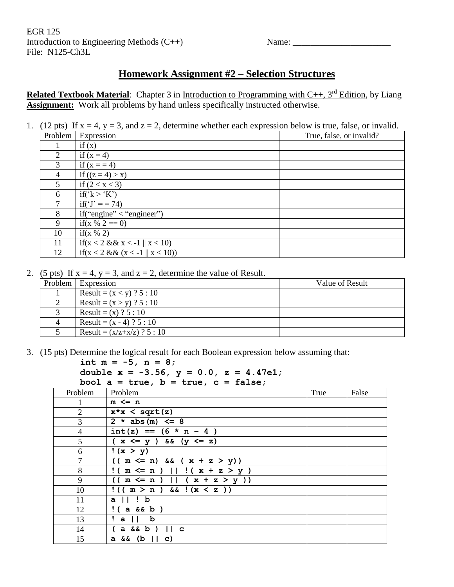EGR 125 Introduction to Engineering Methods (C++) Name: Name: File: N125-Ch3L

## **Homework Assignment #2 – Selection Structures**

**Related Textbook Material**: Chapter 3 in Introduction to Programming with C++, 3<sup>rd</sup> Edition, by Liang **Assignment:** Work all problems by hand unless specifically instructed otherwise.

1. (12 pts) If  $x = 4$ ,  $y = 3$ , and  $z = 2$ , determine whether each expression below is true, false, or invalid.

| Problem        | Expression                      | True, false, or invalid? |
|----------------|---------------------------------|--------------------------|
|                | if(x)                           |                          |
| $\overline{2}$ | if $(x = 4)$                    |                          |
| 3              | if $(x = 4)$                    |                          |
| 4              | if $((z = 4) > x)$              |                          |
| 5              | if $(2 < x < 3)$                |                          |
| 6              | if('k>'K')                      |                          |
|                | if(' $J' = 74$ )                |                          |
| 8              | if("engine" < "engine")         |                          |
| 9              | if(x % 2 = 0)                   |                          |
| 10             | if(x $% 2)$                     |                          |
| 11             | if(x < 2 && x < -1    x < 10)   |                          |
| 12             | if(x < 2 && (x < -1    x < 10)) |                          |

2. (5 pts) If  $x = 4$ ,  $y = 3$ , and  $z = 2$ , determine the value of Result.

| .              |                               |                 |
|----------------|-------------------------------|-----------------|
| Problem        | Expression                    | Value of Result |
|                | Result = $(x < y)$ ? 5 : 10   |                 |
|                | Result = $(x > y)$ ? 5 : 10   |                 |
|                | Result = (x) ? 5 : 10         |                 |
| $\overline{4}$ | Result = $(x - 4)$ ? 5 : 10   |                 |
|                | Result = $(x/z+x/z)$ ? 5 : 10 |                 |

3. (15 pts) Determine the logical result for each Boolean expression below assuming that:

```
int m = -5, n = 8;
```

```
double x = -3.56, y = 0.0, z = 4.47e1;
bool a = true, b = true, c = false;
```

| Problem        | Problem                         | True | False |
|----------------|---------------------------------|------|-------|
| $\mathbf{1}$   | $m \leq n$                      |      |       |
| 2              | $x \star x <$ sqrt $(z)$        |      |       |
| $\mathfrak{Z}$ | $2 * abs(m) \leq 8$             |      |       |
| $\overline{4}$ | $int(z) == (6 * n - 4)$         |      |       |
| 5              | $(x \leq y)$ & $(y \leq z)$     |      |       |
| 6              | !(x > y)                        |      |       |
| 7              | $(( m \le n) \& ( x + z > y))$  |      |       |
| 8              | $!( m \le n )    ( x + z > y )$ |      |       |
| 9              | $((m \le n)    (x + z > y))$    |      |       |
| 10             | $!((m > n) \& (x < z))$         |      |       |
| 11             | $a \mid \mid \cdot b$           |      |       |
| 12             | $!(a \& b)$                     |      |       |
| 13             | !all b                          |      |       |
| 14             | $(a \& b)$ $   c$               |      |       |
| 15             | $a \& (b    c)$                 |      |       |
|                |                                 |      |       |